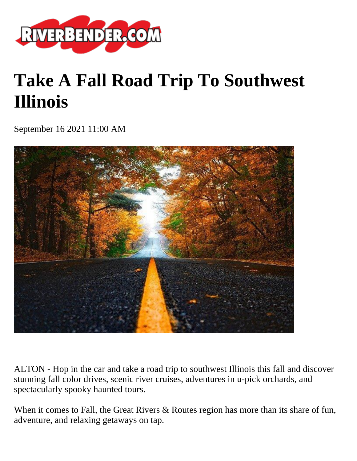

## **Take A Fall Road Trip To Southwest Illinois**

September 16 2021 11:00 AM



ALTON - Hop in the car and take a road trip to southwest Illinois this fall and discover stunning fall color drives, scenic river cruises, adventures in u-pick orchards, and spectacularly spooky haunted tours.

When it comes to Fall, the Great Rivers & Routes region has more than its share of fun, adventure, and relaxing getaways on tap.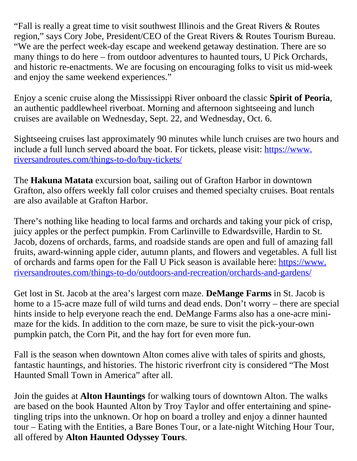"Fall is really a great time to visit southwest Illinois and the Great Rivers & Routes region," says Cory Jobe, President/CEO of the Great Rivers & Routes Tourism Bureau. "We are the perfect week-day escape and weekend getaway destination. There are so many things to do here – from outdoor adventures to haunted tours, U Pick Orchards, and historic re-enactments. We are focusing on encouraging folks to visit us mid-week and enjoy the same weekend experiences."

Enjoy a scenic cruise along the Mississippi River onboard the classic **Spirit of Peoria**, an authentic paddlewheel riverboat. Morning and afternoon sightseeing and lunch cruises are available on Wednesday, Sept. 22, and Wednesday, Oct. 6.

Sightseeing cruises last approximately 90 minutes while lunch cruises are two hours and include a full lunch served aboard the boat. For tickets, please visit: [https://www.](https://www.riversandroutes.com/things-to-do/buy-tickets/) [riversandroutes.com/things-to-do/buy-tickets/](https://www.riversandroutes.com/things-to-do/buy-tickets/)

The **Hakuna Matata** excursion boat, sailing out of Grafton Harbor in downtown Grafton, also offers weekly fall color cruises and themed specialty cruises. Boat rentals are also available at Grafton Harbor.

There's nothing like heading to local farms and orchards and taking your pick of crisp, juicy apples or the perfect pumpkin. From Carlinville to Edwardsville, Hardin to St. Jacob, dozens of orchards, farms, and roadside stands are open and full of amazing fall fruits, award-winning apple cider, autumn plants, and flowers and vegetables. A full list of orchards and farms open for the Fall U Pick season is available here: [https://www.](https://www.riversandroutes.com/things-to-do/outdoors-and-recreation/orchards-and-gardens/) [riversandroutes.com/things-to-do/outdoors-and-recreation/orchards-and-gardens/](https://www.riversandroutes.com/things-to-do/outdoors-and-recreation/orchards-and-gardens/)

Get lost in St. Jacob at the area's largest corn maze. **DeMange Farms** in St. Jacob is home to a 15-acre maze full of wild turns and dead ends. Don't worry – there are special hints inside to help everyone reach the end. DeMange Farms also has a one-acre minimaze for the kids. In addition to the corn maze, be sure to visit the pick-your-own pumpkin patch, the Corn Pit, and the hay fort for even more fun.

Fall is the season when downtown Alton comes alive with tales of spirits and ghosts, fantastic hauntings, and histories. The historic riverfront city is considered "The Most Haunted Small Town in America" after all.

Join the guides at **Alton Hauntings** for walking tours of downtown Alton. The walks are based on the book Haunted Alton by Troy Taylor and offer entertaining and spinetingling trips into the unknown. Or hop on board a trolley and enjoy a dinner haunted tour – Eating with the Entities, a Bare Bones Tour, or a late-night Witching Hour Tour, all offered by **Alton Haunted Odyssey Tours**.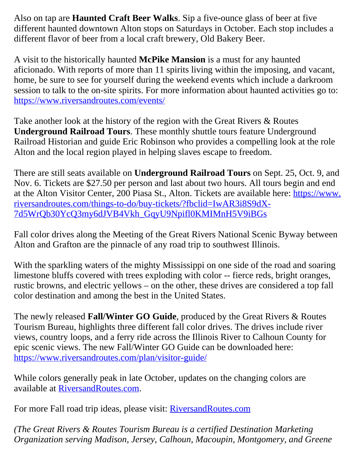Also on tap are **Haunted Craft Beer Walks**. Sip a five-ounce glass of beer at five different haunted downtown Alton stops on Saturdays in October. Each stop includes a different flavor of beer from a local craft brewery, Old Bakery Beer.

A visit to the historically haunted **McPike Mansion** is a must for any haunted aficionado. With reports of more than 11 spirits living within the imposing, and vacant, home, be sure to see for yourself during the weekend events which include a darkroom session to talk to the on-site spirits. For more information about haunted activities go to: <https://www.riversandroutes.com/events/>

Take another look at the history of the region with the Great Rivers & Routes **Underground Railroad Tours**. These monthly shuttle tours feature Underground Railroad Historian and guide Eric Robinson who provides a compelling look at the role Alton and the local region played in helping slaves escape to freedom.

There are still seats available on **Underground Railroad Tours** on Sept. 25, Oct. 9, and Nov. 6. Tickets are \$27.50 per person and last about two hours. All tours begin and end at the Alton Visitor Center, 200 Piasa St., Alton. Tickets are available here: [https://www.](https://www.riversandroutes.com/things-to-do/buy-tickets/?fbclid=IwAR3i8S9dX-7d5WrQb30YcQ3my6dJVB4Vkh_GqyU9Npifl0KMIMnH5V9iBGs) [riversandroutes.com/things-to-do/buy-tickets/?fbclid=IwAR3i8S9dX-](https://www.riversandroutes.com/things-to-do/buy-tickets/?fbclid=IwAR3i8S9dX-7d5WrQb30YcQ3my6dJVB4Vkh_GqyU9Npifl0KMIMnH5V9iBGs)[7d5WrQb30YcQ3my6dJVB4Vkh\\_GqyU9Npifl0KMIMnH5V9iBGs](https://www.riversandroutes.com/things-to-do/buy-tickets/?fbclid=IwAR3i8S9dX-7d5WrQb30YcQ3my6dJVB4Vkh_GqyU9Npifl0KMIMnH5V9iBGs)

Fall color drives along the Meeting of the Great Rivers National Scenic Byway between Alton and Grafton are the pinnacle of any road trip to southwest Illinois.

With the sparkling waters of the mighty Mississippi on one side of the road and soaring limestone bluffs covered with trees exploding with color -- fierce reds, bright oranges, rustic browns, and electric yellows – on the other, these drives are considered a top fall color destination and among the best in the United States.

The newly released **Fall/Winter GO Guide**, produced by the Great Rivers & Routes Tourism Bureau, highlights three different fall color drives. The drives include river views, country loops, and a ferry ride across the Illinois River to Calhoun County for epic scenic views. The new Fall/Winter GO Guide can be downloaded here: <https://www.riversandroutes.com/plan/visitor-guide/>

While colors generally peak in late October, updates on the changing colors are available at [RiversandRoutes.com.](https://www.riversandroutes.com/)

For more Fall road trip ideas, please visit: **RiversandRoutes.com** 

*(The Great Rivers & Routes Tourism Bureau is a certified Destination Marketing Organization serving Madison, Jersey, Calhoun, Macoupin, Montgomery, and Greene*